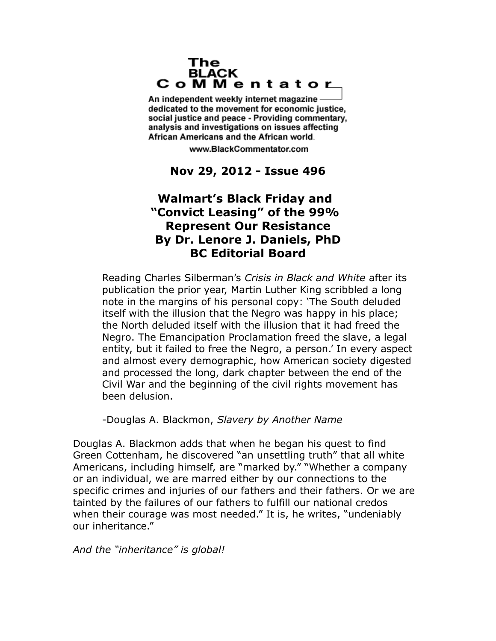## The **BLACK** CoMMentator

An independent weekly internet magazine dedicated to the movement for economic justice. social justice and peace - Providing commentary, analysis and investigations on issues affecting African Americans and the African world.

www.BlackCommentator.com

## **Nov 29, 2012 - Issue 496**

## **Walmart's Black Friday and "Convict Leasing" of the 99% Represent Our Resistance By Dr. Lenore J. Daniels, PhD BC Editorial Board**

Reading Charles Silberman's *Crisis in Black and White* after its publication the prior year, Martin Luther King scribbled a long note in the margins of his personal copy: 'The South deluded itself with the illusion that the Negro was happy in his place; the North deluded itself with the illusion that it had freed the Negro. The Emancipation Proclamation freed the slave, a legal entity, but it failed to free the Negro, a person.' In every aspect and almost every demographic, how American society digested and processed the long, dark chapter between the end of the Civil War and the beginning of the civil rights movement has been delusion.

-Douglas A. Blackmon, *Slavery by Another Name*

Douglas A. Blackmon adds that when he began his quest to find Green Cottenham, he discovered "an unsettling truth" that all white Americans, including himself, are "marked by." "Whether a company or an individual, we are marred either by our connections to the specific crimes and injuries of our fathers and their fathers. Or we are tainted by the failures of our fathers to fulfill our national credos when their courage was most needed." It is, he writes, "undeniably our inheritance."

*And the "inheritance" is global!*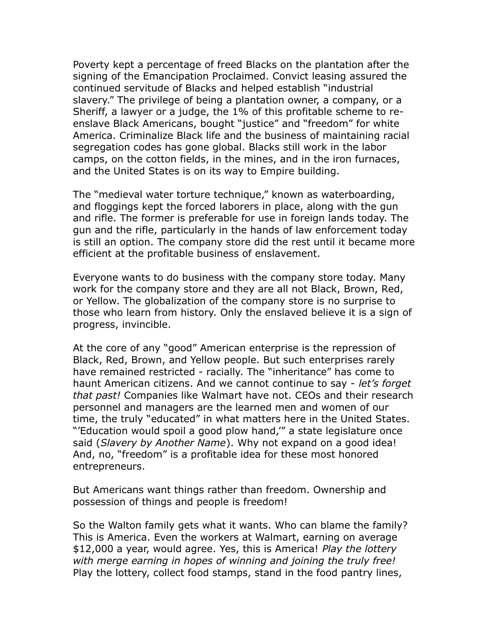Poverty kept a percentage of freed Blacks on the plantation after the signing of the Emancipation Proclaimed. Convict leasing assured the continued servitude of Blacks and helped establish "industrial slavery." The privilege of being a plantation owner, a company, or a Sheriff, a lawyer or a judge, the 1% of this profitable scheme to reenslave Black Americans, bought "justice" and "freedom" for white America. Criminalize Black life and the business of maintaining racial segregation codes has gone global. Blacks still work in the labor camps, on the cotton fields, in the mines, and in the iron furnaces, and the United States is on its way to Empire building.

The "medieval water torture technique," known as waterboarding, and floggings kept the forced laborers in place, along with the gun and rifle. The former is preferable for use in foreign lands today. The gun and the rifle, particularly in the hands of law enforcement today is still an option. The company store did the rest until it became more efficient at the profitable business of enslavement.

Everyone wants to do business with the company store today. Many work for the company store and they are all not Black, Brown, Red, or Yellow. The globalization of the company store is no surprise to those who learn from history. Only the enslaved believe it is a sign of progress, invincible.

At the core of any "good" American enterprise is the repression of Black, Red, Brown, and Yellow people. But such enterprises rarely have remained restricted - racially. The "inheritance" has come to haunt American citizens. And we cannot continue to say - *let's forget that past!* Companies like Walmart have not. CEOs and their research personnel and managers are the learned men and women of our time, the truly "educated" in what matters here in the United States. "'Education would spoil a good plow hand,'" a state legislature once said (*Slavery by Another Name*). Why not expand on a good idea! And, no, "freedom" is a profitable idea for these most honored entrepreneurs.

But Americans want things rather than freedom. Ownership and possession of things and people is freedom!

So the Walton family gets what it wants. Who can blame the family? This is America. Even the workers at Walmart, earning on average \$12,000 a year, would agree. Yes, this is America! *Play the lottery with merge earning in hopes of winning and joining the truly free!*  Play the lottery, collect food stamps, stand in the food pantry lines,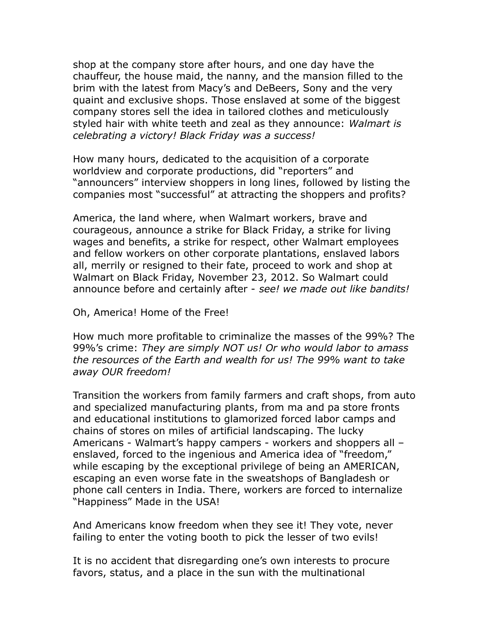shop at the company store after hours, and one day have the chauffeur, the house maid, the nanny, and the mansion filled to the brim with the latest from Macy's and DeBeers, Sony and the very quaint and exclusive shops. Those enslaved at some of the biggest company stores sell the idea in tailored clothes and meticulously styled hair with white teeth and zeal as they announce: *Walmart is celebrating a victory! Black Friday was a success!*

How many hours, dedicated to the acquisition of a corporate worldview and corporate productions, did "reporters" and "announcers" interview shoppers in long lines, followed by listing the companies most "successful" at attracting the shoppers and profits?

America, the land where, when Walmart workers, brave and courageous, announce a strike for Black Friday, a strike for living wages and benefits, a strike for respect, other Walmart employees and fellow workers on other corporate plantations, enslaved labors all, merrily or resigned to their fate, proceed to work and shop at Walmart on Black Friday, November 23, 2012. So Walmart could announce before and certainly after - *see! we made out like bandits!*

Oh, America! Home of the Free!

How much more profitable to criminalize the masses of the 99%? The 99%'s crime: *They are simply NOT us! Or who would labor to amass the resources of the Earth and wealth for us! The 99% want to take away OUR freedom!*

Transition the workers from family farmers and craft shops, from auto and specialized manufacturing plants, from ma and pa store fronts and educational institutions to glamorized forced labor camps and chains of stores on miles of artificial landscaping. The lucky Americans - Walmart's happy campers - workers and shoppers all – enslaved, forced to the ingenious and America idea of "freedom," while escaping by the exceptional privilege of being an AMERICAN, escaping an even worse fate in the sweatshops of Bangladesh or phone call centers in India. There, workers are forced to internalize "Happiness" Made in the USA!

And Americans know freedom when they see it! They vote, never failing to enter the voting booth to pick the lesser of two evils!

It is no accident that disregarding one's own interests to procure favors, status, and a place in the sun with the multinational